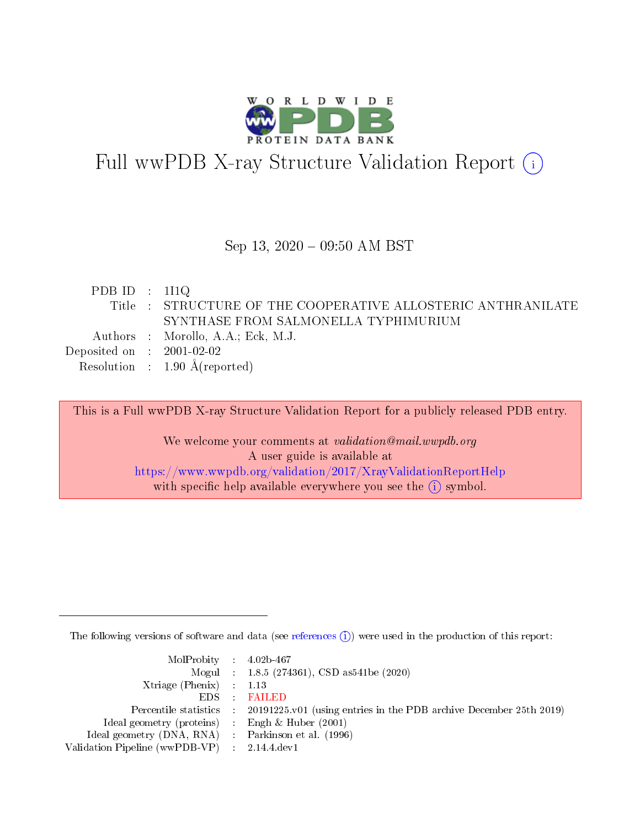

# Full wwPDB X-ray Structure Validation Report (i)

#### Sep 13,  $2020 - 09:50$  AM BST

| PDB ID : $111Q$             |                                                              |
|-----------------------------|--------------------------------------------------------------|
|                             | Title : STRUCTURE OF THE COOPERATIVE ALLOSTERIC ANTHRANILATE |
|                             | SYNTHASE FROM SALMONELLA TYPHIMURIUM                         |
|                             | Authors : Morollo, A.A.; Eck, M.J.                           |
| Deposited on : $2001-02-02$ |                                                              |
|                             | Resolution : $1.90 \text{ Å}$ (reported)                     |
|                             |                                                              |

This is a Full wwPDB X-ray Structure Validation Report for a publicly released PDB entry.

We welcome your comments at validation@mail.wwpdb.org A user guide is available at <https://www.wwpdb.org/validation/2017/XrayValidationReportHelp> with specific help available everywhere you see the  $(i)$  symbol.

The following versions of software and data (see [references](https://www.wwpdb.org/validation/2017/XrayValidationReportHelp#references)  $(i)$ ) were used in the production of this report:

| $MolProbability$ 4.02b-467                          |                                                                    |
|-----------------------------------------------------|--------------------------------------------------------------------|
|                                                     | Mogul : 1.8.5 (274361), CSD as541be (2020)                         |
| Xtriage (Phenix) $: 1.13$                           |                                                                    |
| $EDS$ :                                             | <b>FAILED</b>                                                      |
| Percentile statistics :                             | 20191225.v01 (using entries in the PDB archive December 25th 2019) |
| Ideal geometry (proteins) :                         | Engh $\&$ Huber (2001)                                             |
| Ideal geometry (DNA, RNA) : Parkinson et al. (1996) |                                                                    |
| Validation Pipeline (wwPDB-VP) : 2.14.4.dev1        |                                                                    |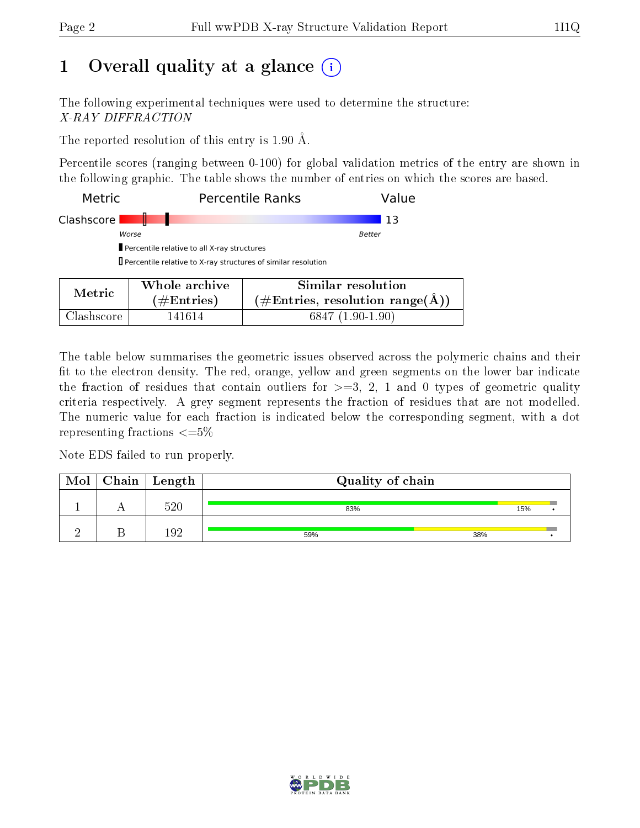# 1 [O](https://www.wwpdb.org/validation/2017/XrayValidationReportHelp#overall_quality)verall quality at a glance  $(i)$

The following experimental techniques were used to determine the structure: X-RAY DIFFRACTION

The reported resolution of this entry is 1.90 Å.

Percentile scores (ranging between 0-100) for global validation metrics of the entry are shown in the following graphic. The table shows the number of entries on which the scores are based.

| Metric     |                                                                      | <b>Percentile Ranks</b><br>Value                                     |
|------------|----------------------------------------------------------------------|----------------------------------------------------------------------|
| Clashscore |                                                                      | 13                                                                   |
|            | Worse                                                                | Better                                                               |
|            | Percentile relative to all X-ray structures                          |                                                                      |
|            | $\Box$ Percentile relative to X-ray structures of similar resolution |                                                                      |
| Metric     | Whole archive                                                        | Similar resolution                                                   |
|            | $\#$ Entries)                                                        | $(\#\text{Entries}, \text{ resolution } \text{range}(\textup{\AA}))$ |

Clashscore 141614 6847 (1.90-1.90)

The table below summarises the geometric issues observed across the polymeric chains and their fit to the electron density. The red, orange, yellow and green segments on the lower bar indicate the fraction of residues that contain outliers for  $\geq =3$ , 2, 1 and 0 types of geometric quality criteria respectively. A grey segment represents the fraction of residues that are not modelled. The numeric value for each fraction is indicated below the corresponding segment, with a dot representing fractions  $\leq=5\%$ 

Note EDS failed to run properly.

| Mol | Chain   Length | Quality of chain |     |  |  |  |
|-----|----------------|------------------|-----|--|--|--|
|     | 520            | 83%              | 15% |  |  |  |
|     |                | 59%              | 38% |  |  |  |

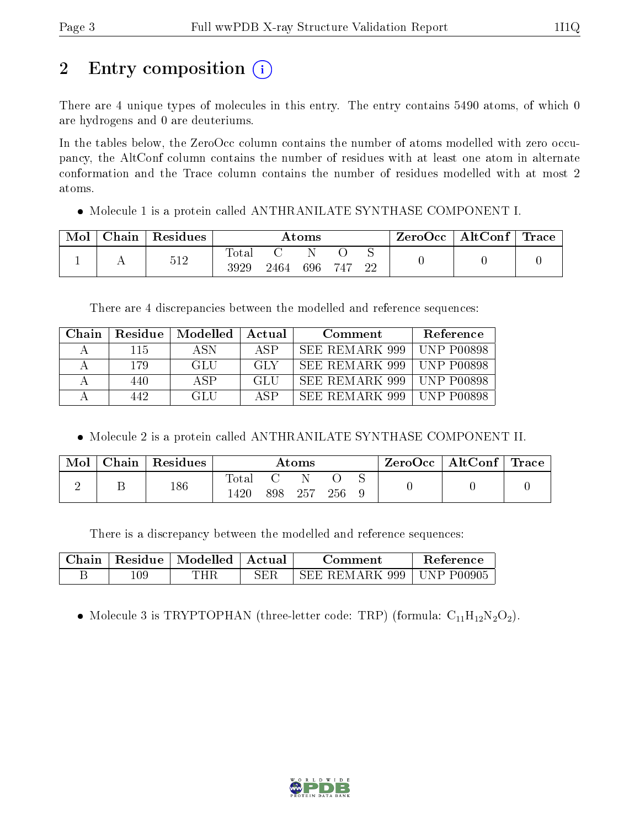# 2 Entry composition (i)

There are 4 unique types of molecules in this entry. The entry contains 5490 atoms, of which 0 are hydrogens and 0 are deuteriums.

In the tables below, the ZeroOcc column contains the number of atoms modelled with zero occupancy, the AltConf column contains the number of residues with at least one atom in alternate conformation and the Trace column contains the number of residues modelled with at most 2 atoms.

Molecule 1 is a protein called ANTHRANILATE SYNTHASE COMPONENT I.

| Mol | $\Gamma$ Chain | $\mathsf{Residues}$ | Atoms               |      |     | $\text{ZeroOcc}$   AltConf   Trace |    |  |  |
|-----|----------------|---------------------|---------------------|------|-----|------------------------------------|----|--|--|
|     |                | 512                 | $\rm Total$<br>3929 | 2464 | 696 | 747                                | 22 |  |  |

There are 4 discrepancies between the modelled and reference sequences:

| Chain. | Residue | Modelled | Actual | Comment         | Reference                           |
|--------|---------|----------|--------|-----------------|-------------------------------------|
| А      | 115     | A SN     | ASP    | SEE REMARK 999  | $UNP$ $P00898$                      |
|        | 179     | GLU      | -GLY   | SEE REMARK 999  | $UNP$ $P00898$                      |
|        | 440     | A SP     | GLU    | SEE REMARK 999  | $\overline{\phantom{0}}$ UNP P00898 |
|        | 442.    | GLU      | ASP    | -SEE REMARK 999 | -UNP P00898                         |

Molecule 2 is a protein called ANTHRANILATE SYNTHASE COMPONENT II.

| Mol | Chain   Residues |                      |     | Atoms |     |  | ZeroOcc   AltConf   Trace |  |
|-----|------------------|----------------------|-----|-------|-----|--|---------------------------|--|
|     | 186              | $\rm Total$<br>l 420 | 898 | -257  | 256 |  |                           |  |

There is a discrepancy between the modelled and reference sequences:

|     | Chain   Residue   Modelled   Actual |            | Comment                                   | Reference |
|-----|-------------------------------------|------------|-------------------------------------------|-----------|
| 109 | THR                                 | <b>SER</b> | $\frac{1}{1}$ SEE REMARK 999   UNP P00905 |           |

• Molecule 3 is TRYPTOPHAN (three-letter code: TRP) (formula:  $C_{11}H_{12}N_2O_2$ ).

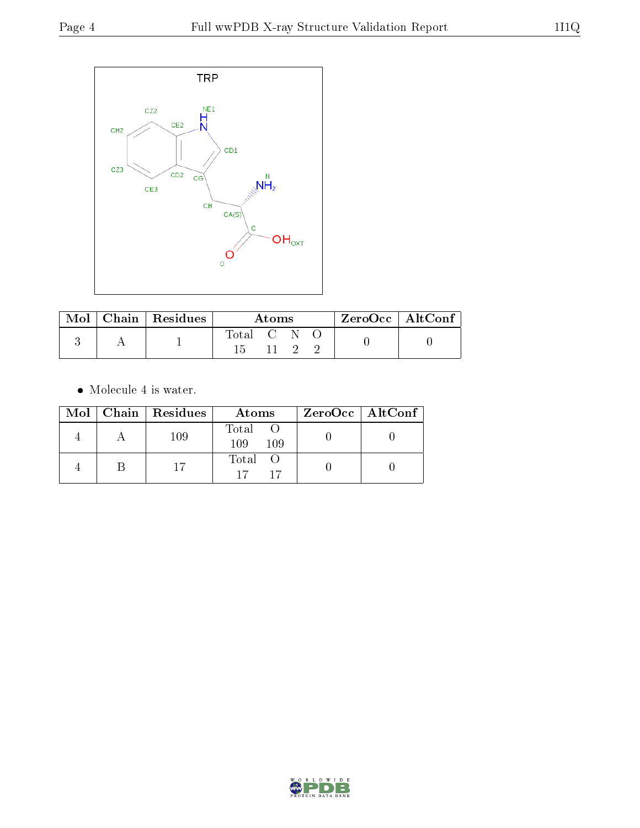

| $\bf{Mol} \perp$ | $\mid$ Chain $\mid$ Residues | Atoms       |  |  |  | $ZeroOcc \mid AltConf \mid$ |
|------------------|------------------------------|-------------|--|--|--|-----------------------------|
|                  |                              | Total C N C |  |  |  |                             |
|                  |                              |             |  |  |  |                             |

 $\bullet\,$  Molecule 4 is water.

|  | Mol   Chain   Residues | Atoms               | $ZeroOcc \   \ AltConf \  $ |
|--|------------------------|---------------------|-----------------------------|
|  | 109                    | Total<br>109<br>109 |                             |
|  |                        | Total O<br>17       |                             |

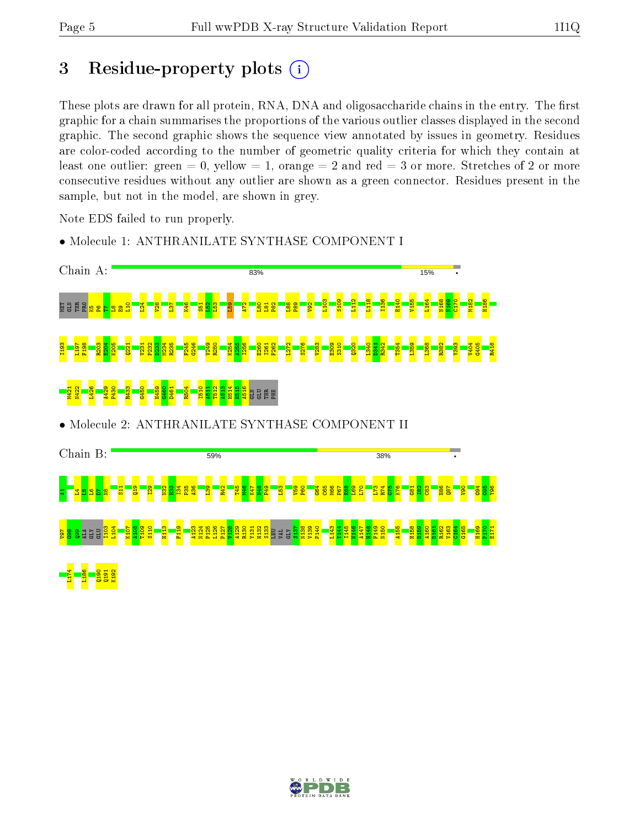# 3 Residue-property plots  $(i)$

These plots are drawn for all protein, RNA, DNA and oligosaccharide chains in the entry. The first graphic for a chain summarises the proportions of the various outlier classes displayed in the second graphic. The second graphic shows the sequence view annotated by issues in geometry. Residues are color-coded according to the number of geometric quality criteria for which they contain at least one outlier: green  $= 0$ , yellow  $= 1$ , orange  $= 2$  and red  $= 3$  or more. Stretches of 2 or more consecutive residues without any outlier are shown as a green connector. Residues present in the sample, but not in the model, are shown in grey.

Note EDS failed to run properly.



• Molecule 1: ANTHRANILATE SYNTHASE COMPONENT I

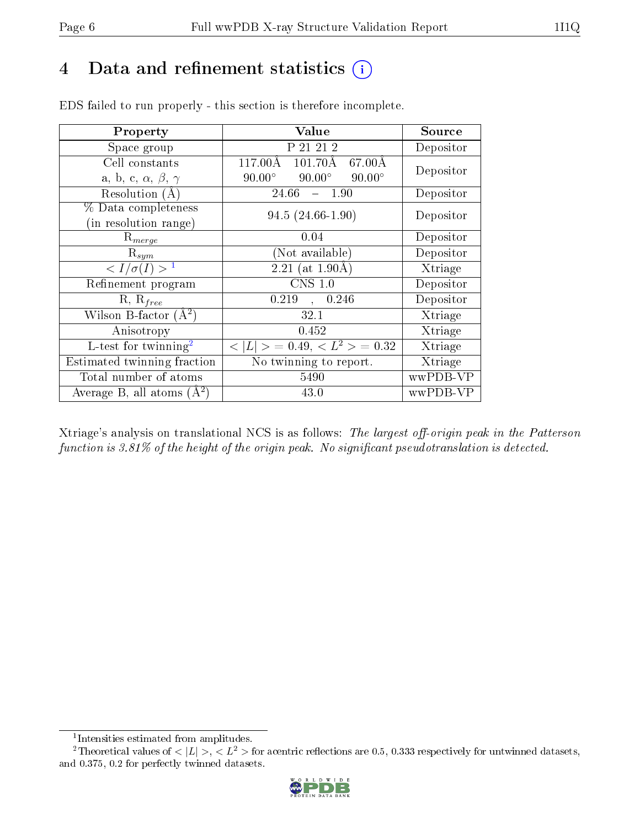# 4 Data and refinement statistics (i)

| Property                                   | Value                                                         | Source    |
|--------------------------------------------|---------------------------------------------------------------|-----------|
| Space group                                | P 21 21 2                                                     | Depositor |
| Cell constants                             | $117.00\text{\AA}$<br>$101.70\text{\AA}$<br>$67.00\text{\AA}$ | Depositor |
| a, b, c, $\alpha$ , $\beta$ , $\gamma$     | $90.00^\circ$<br>$90.00^\circ$<br>$90.00^\circ$               |           |
| Resolution $(A)$                           | 24.66<br>$-$ 1.90                                             | Depositor |
| % Data completeness                        | $94.5(24.66-1.90)$                                            | Depositor |
| (in resolution range)                      |                                                               |           |
| $R_{merge}$                                | 0.04                                                          | Depositor |
| $\mathrm{R}_{sym}$                         | (Not available)                                               | Depositor |
| $\langle I/\sigma(I) \rangle$ <sup>1</sup> | 2.21 (at $1.90\text{\AA}$ )                                   | Xtriage   |
| Refinement program                         | $CNS$ 1.0                                                     | Depositor |
| $R, R_{free}$                              | 0.219<br>0.246<br>$\Delta \sim 10^4$                          | Depositor |
| Wilson B-factor $(A^2)$                    | 32.1                                                          | Xtriage   |
| Anisotropy                                 | 0.452                                                         | Xtriage   |
| L-test for twinning <sup>2</sup>           | $<$ $ L $ > = 0.49, $<$ $L^2$ > = 0.32                        | Xtriage   |
| Estimated twinning fraction                | No twinning to report.                                        | Xtriage   |
| Total number of atoms                      | 5490                                                          | wwPDB-VP  |
| Average B, all atoms $(A^2)$               | 43.0                                                          | wwPDB-VP  |

EDS failed to run properly - this section is therefore incomplete.

Xtriage's analysis on translational NCS is as follows: The largest off-origin peak in the Patterson function is  $3.81\%$  of the height of the origin peak. No significant pseudotranslation is detected.

<sup>&</sup>lt;sup>2</sup>Theoretical values of  $\langle |L| \rangle$ ,  $\langle L^2 \rangle$  for acentric reflections are 0.5, 0.333 respectively for untwinned datasets, and 0.375, 0.2 for perfectly twinned datasets.



<span id="page-5-1"></span><span id="page-5-0"></span><sup>1</sup> Intensities estimated from amplitudes.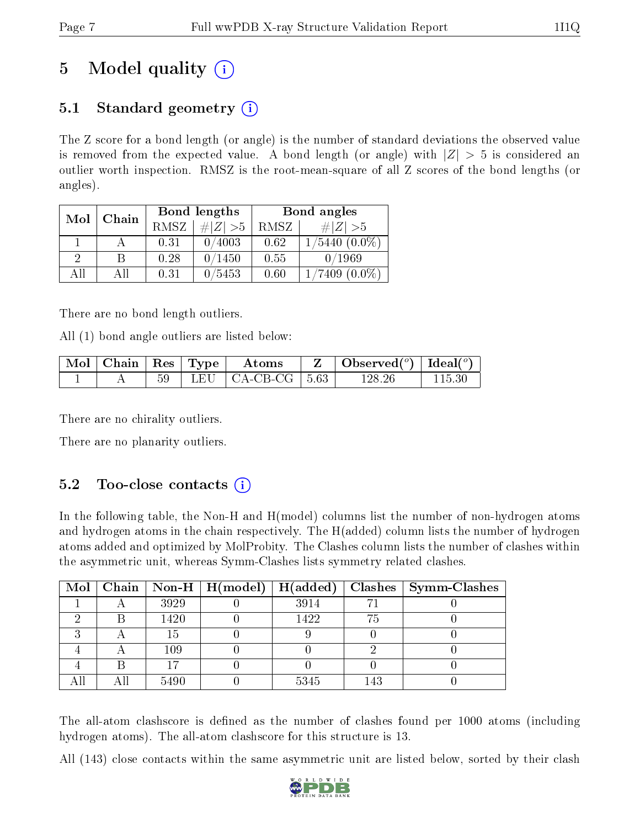# 5 Model quality  $(i)$

# 5.1 Standard geometry  $\overline{()}$

The Z score for a bond length (or angle) is the number of standard deviations the observed value is removed from the expected value. A bond length (or angle) with  $|Z| > 5$  is considered an outlier worth inspection. RMSZ is the root-mean-square of all Z scores of the bond lengths (or angles).

| Mol | Chain |             | Bond lengths | Bond angles |                              |  |
|-----|-------|-------------|--------------|-------------|------------------------------|--|
|     |       | <b>RMSZ</b> | $\ Z\  > 5$  | RMSZ        | # $ Z  > 5$                  |  |
|     |       | 0.31        | 0/4003       | 0.62        | $1/5440(0.0\%)$              |  |
| 9   | В     | 0.28        | 0/1450       | 0.55        | 0/1969                       |  |
| AĦ  | АH    | 0.31        | 0/5453       | 0.60        | $(0.0\%)$<br>$^{\prime}7409$ |  |

There are no bond length outliers.

All (1) bond angle outliers are listed below:

| $\lceil \overline{\text{Mol}} \rceil$ Chain $\lceil \text{Res} \rceil$ Type $\lceil$ |  | $\boldsymbol{\mathrm{Atoms}}$  | $\mid$ Observed $({}^o)$ $\mid$ Ideal $({}^o)$ $\mid$ |        |
|--------------------------------------------------------------------------------------|--|--------------------------------|-------------------------------------------------------|--------|
|                                                                                      |  | $59$   LEU   CA-CB-CG   $5.63$ | 128.26                                                | 115.30 |

There are no chirality outliers.

There are no planarity outliers.

## 5.2 Too-close contacts  $(i)$

In the following table, the Non-H and H(model) columns list the number of non-hydrogen atoms and hydrogen atoms in the chain respectively. The H(added) column lists the number of hydrogen atoms added and optimized by MolProbity. The Clashes column lists the number of clashes within the asymmetric unit, whereas Symm-Clashes lists symmetry related clashes.

|  |      |      |     | Mol   Chain   Non-H   H(model)   H(added)   Clashes   Symm-Clashes |
|--|------|------|-----|--------------------------------------------------------------------|
|  | 3929 | 3914 |     |                                                                    |
|  | 1420 | 1422 | 75  |                                                                    |
|  | 15   |      |     |                                                                    |
|  | 109  |      |     |                                                                    |
|  |      |      |     |                                                                    |
|  | 5490 | 5345 | 143 |                                                                    |

The all-atom clashscore is defined as the number of clashes found per 1000 atoms (including hydrogen atoms). The all-atom clashscore for this structure is 13.

All (143) close contacts within the same asymmetric unit are listed below, sorted by their clash

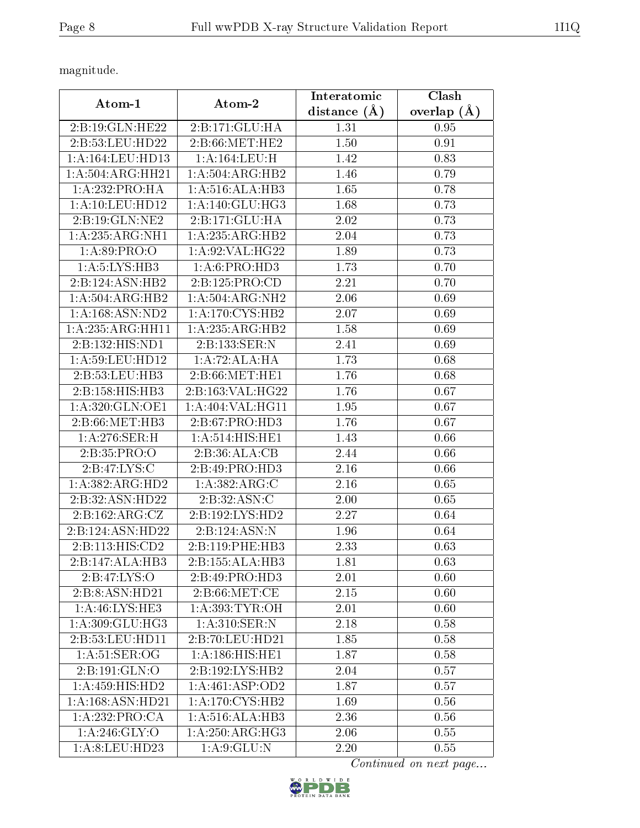magnitude.

| Atom-1                                 | Atom-2                | Interatomic       | Clash         |  |
|----------------------------------------|-----------------------|-------------------|---------------|--|
|                                        |                       | distance $(A)$    | overlap $(A)$ |  |
| 2:B:19:GLN:HE22                        | 2:B:171:GLU:HA        | 1.31              | 0.95          |  |
| 2:B:53:LEU:HD22                        | $2: B:66$ :MET:HE $2$ | 1.50              | 0.91          |  |
| 1:A:164:LEU:HD13                       | 1:A:164:LEU:H         | 1.42              | 0.83          |  |
| 1:A:504:ARG:HH21                       | 1:A:504:ARG:HB2       | 1.46              | 0.79          |  |
| 1:A:232:PRO:HA                         | 1:A:516:ALA:HB3       | 1.65              | 0.78          |  |
| 1: A: 10: LEU: HD12                    | 1: A:140: GLU:HG3     | 1.68              | 0.73          |  |
| 2:B:19:GLN:NE2                         | 2:B:171:GLU:HA        | 2.02              | 0.73          |  |
| 1:A:235:ARG:NH1                        | 1:A:235:ARG:HB2       | 2.04              | 0.73          |  |
| 1: A:89: PRO:O                         | 1: A:92: VAL:HG22     | 1.89              | 0.73          |  |
| 1: A: 5: LYS: HB3                      | 1:A:6:PRO:HD3         | 1.73              | 0.70          |  |
| 2:B:124:ASN:HB2                        | 2:B:125:PRO:CD        | 2.21              | 0.70          |  |
| 1: A: 504: ARG: HB2                    | 1:A:504:ARG:NH2       | 2.06              | 0.69          |  |
| 1: A: 168: ASN: ND2                    | 1: A:170: CYS:HB2     | 2.07              | 0.69          |  |
| $1:A:235:A\overline{\mathrm{RG:HH11}}$ | 1:A:235:ARG:HB2       | 1.58              | 0.69          |  |
| 2:B:132:HIS:ND1                        | 2:B:133:SER:N         | 2.41              | 0.69          |  |
| 1:A:59:LEU:HD12                        | 1:A:72:ALA:HA         | 1.73              | 0.68          |  |
| 2:B:53:LEU:HB3                         | 2:5:66:MET:HE1        | 1.76              | 0.68          |  |
| 2:B:158:HIS:HB3                        | 2:B:163:VAL:HG22      | 1.76              | 0.67          |  |
| 1:A:320:GLN:OE1                        | 1:A:404:VAL:HG11      | 1.95              | 0.67          |  |
| 2:B:66:MET:HB3                         | 2:B:67:PRO:HD3        | 1.76              | 0.67          |  |
| 1:A:276:SER:H                          | 1:A:514:HIS:HE1       | 1.43              | 0.66          |  |
| 2:B:35:PRO:O                           | 2:B:36:ALA:CB         | 2.44              | 0.66          |  |
| 2:B:47:LYS:C                           | 2:B:49:PRO:HD3        | 2.16              | 0.66          |  |
| 1:A:382:ARG:HD2                        | 1:A:382:ARG:C         | 2.16              | 0.65          |  |
| 2:B:32:ASN:HD22                        | 2:B:32:ASN:C          | 2.00              | 0.65          |  |
| 2: B: 162: ARG: CZ                     | 2:B:192:LYS:HD2       | 2.27              | 0.64          |  |
| 2:B:124:ASN:HD22                       | 2:B:124:ASN:N         | 1.96              | 0.64          |  |
| 2: B: 113: HIS: CD2                    | 2:B:119:PHE:HB3       | 2.33              | 0.63          |  |
| 2:B:147:ALA:HB3                        | 2:B:155:ALA:HB3       | 1.81              | 0.63          |  |
| $2: B: 47: LYS: \overline{O}$          | 2: B:49: PRO:HD3      | 2.01              | 0.60          |  |
| 2:B:8:ASN:HD21                         | 2: B:66: MET:CE       | 2.15              | 0.60          |  |
| 1: A: 46: LYS: HE3                     | 1: A: 393: TYR: OH    | 2.01              | 0.60          |  |
| 1:A:309:GLU:HG3                        | 1:A:310:SER:N         | 2.18              | 0.58          |  |
| 2:B:53:LEU:HD11                        | 2:B:70:LEU:HD21       | 1.85              | 0.58          |  |
| 1:A:51:SER:OG                          | 1:A:186:HIS:HE1       | 1.87              | 0.58          |  |
| 2:B:191:GLN:O                          | 2:B:192:LYS:HB2       | 2.04              | 0.57          |  |
| 1:A:459:HIS:HD2                        | 1:A:461:ASP:OD2       | 1.87              | 0.57          |  |
| 1:A:168:ASN:HD21                       | 1: A:170: CYS:HB2     | 1.69              | 0.56          |  |
| 1:A:232:PRO:CA                         | 1:A:516:ALA:HB3       | $2.\overline{36}$ | 0.56          |  |
| 1:A:246:GLY:O                          | 1: A:250: ARG: HG3    | 2.06              | 0.55          |  |
| 1:A:8:LEU:HD23                         | 1: A:9: GLU:N         | 2.20              | 0.55          |  |

Continued on next page...

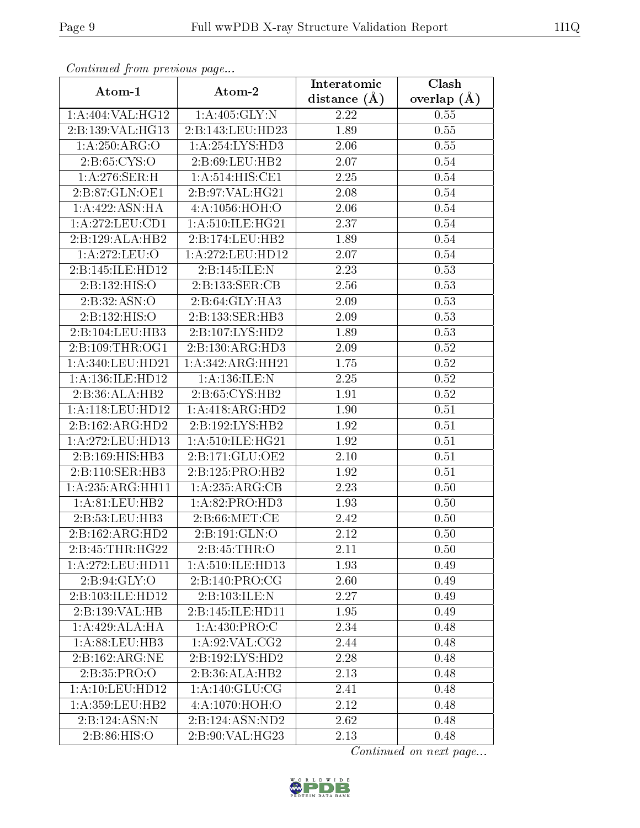| Communaca from previous page        |                               | Interatomic    | Clash           |  |
|-------------------------------------|-------------------------------|----------------|-----------------|--|
| Atom-1                              | Atom-2                        | distance $(A)$ | overlap $(\AA)$ |  |
| 1:A:404:VAL:HG12                    | 1: A:405: GLY:N               | 2.22           | 0.55            |  |
| 2:B:139:VAL:HG13                    | 2:B:143:LEU:HD23              | 1.89           | 0.55            |  |
| 1:A:250:ARG:O                       | 1:A:254:LYS:HD3               | $2.06\,$       | 0.55            |  |
| 2: B:65: CYS:O                      | 2: B:69:LEU:HB2               | 2.07           | 0.54            |  |
| $1: A:276: \overline{\text{SER:H}}$ | 1: A:514: HIS: CE1            | 2.25           | 0.54            |  |
| 2:B:87:GLN:OE1                      | 2:B:97:VAL:HG21               | 2.08           | 0.54            |  |
| 1:A:422:ASN:HA                      | 4: A: 1056: HOH:O             | 2.06           | 0.54            |  |
| 1:A:272:LEU:CD1                     | 1: A:510: ILE: HG21           | 2.37           | 0.54            |  |
| 2:B:129:ALA:HB2                     | 2:B:174:LEU:HB2               | 1.89           | 0.54            |  |
| 1:A:272:LEU:O                       | 1: A:272:LEU:HD12             | 2.07           | 0.54            |  |
| 2:B:145:ILE:HD12                    | 2:B:145:ILE:N                 | 2.23           | 0.53            |  |
| 2:B:132:HIS:O                       | 2:B:133:SER:CB                | 2.56           | 0.53            |  |
| 2:B:32:ASN:O                        | 2:B:64:GLY:HA3                | 2.09           | 0.53            |  |
| 2:B:132:HIS:O                       | 2:B:133:SER:HB3               | 2.09           | 0.53            |  |
| 2:B:104:LEU:HB3                     | 2:B:107:LYS:HD2               | 1.89           | 0.53            |  |
| 2:B:109:THR:OG1                     | 2:B:130:ARG:HD3               | 2.09           | 0.52            |  |
| $1: A:340:$ LEU:HD21                | 1:A:342:ARG:HH21              | 1.75           | 0.52            |  |
| 1: A: 136: ILE: HD12                | 1: A:136: ILE:N               | 2.25           | 0.52            |  |
| 2:B:36:ALA:HB2                      | 2:B:65:CYS:HB2                | 1.91           | 0.52            |  |
| 1: A:118: LEU: HD12                 | 1:A:418:ARG:HD2               | 1.90           | 0.51            |  |
| 2:B:162:ARG:HD2                     | 2:B:192:LYS:HB2               | 1.92           | 0.51            |  |
| 1: A:272:LEU:HD13                   | 1: A:510: ILE: HG21           | 1.92           | 0.51            |  |
| 2:B:169:HIS:HB3                     | 2:B:171:GLU:OE2               | 2.10           | 0.51            |  |
| 2:B:110:SER:HB3                     | 2:B:125:PRO:HB2               | 1.92           | 0.51            |  |
| 1:A:235:ARG:HH11                    | 1:A:235:ARG:CB                | 2.23           | 0.50            |  |
| 1: A:81:LEU:HB2                     | $1:A:82:P\overline{RO:HD3}$   | 1.93           | 0.50            |  |
| 2:B:53:LEU:HB3                      | 2: B:66: MET:CE               | 2.42           | 0.50            |  |
| 2:B:162:ARG:HD2                     | 2: B: 191: GLN: O             | 2.12           | 0.50            |  |
| 2:B:45:THR:HG22                     | 2: B:45:THR:O                 | 2.11           | 0.50            |  |
| 1:A:272:LEU:HD11                    | 1:A:510:ILE:HD13              | 1.93           | 0.49            |  |
| 2:B:94:GLY:O                        | 2:B:140:PRO:CG                | 2.60           | 0.49            |  |
| 2:B:103:ILE:HD12                    | 2:B:103:ILE:N                 | 2.27           | 0.49            |  |
| 2:B:139:VAL:HB                      | 2:B:145:ILE:HD11              | 1.95           | 0.49            |  |
| 1:A:429:ALA:HA                      | $1: A: 430: \overline{PRO:C}$ | 2.34           | 0.48            |  |
| 1:A:88:LEU:HB3                      | 1: A:92: VAL:CG2              | 2.44           | 0.48            |  |
| 2:B:162:ARG:NE                      | 2:B:192:LYS:HD2               | 2.28           | 0.48            |  |
| 2:B:35:PRO:O                        | 2:B:36:ALA:HB2                | 2.13           | 0.48            |  |
| 1: A: 10: LEU: HD12                 | 1: A:140: GLU:CG              | 2.41           | 0.48            |  |
| 1: A: 359: LEU: HB2                 | 4: A:1070:HOH:O               | 2.12           | 0.48            |  |
| 2:B:124:ASN:N                       | 2:B:124:ASN:ND2               | 2.62           | 0.48            |  |
| 2:B:86:HIS:O                        | 2:B:90:VAL:HG23               | 2.13           | 0.48            |  |

Continued from previous page.

Continued on next page...

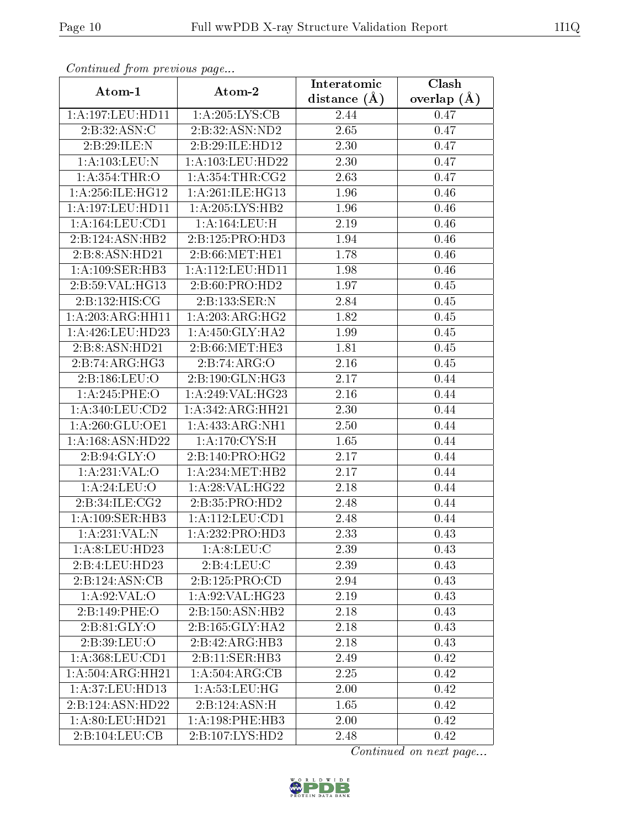| Continued from previous page |                            | Interatomic       | $\overline{\text{Clash}}$ |  |
|------------------------------|----------------------------|-------------------|---------------------------|--|
| Atom-1                       | Atom-2                     | distance $(A)$    | overlap $(A)$             |  |
| 1: A:197: LEU: HD11          | 1:A:205:LYS:CB             | 2.44              | 0.47                      |  |
| 2: B:32: ASN:C               | 2:B:32:ASN:ND2             | $2.\overline{65}$ | 0.47                      |  |
| 2:B:29:ILE:N                 | 2:B:29:ILE:HD12            | 2.30              | 0.47                      |  |
| 1:A:103:LEU:N                | 1:A:103:LEU:HD22           | 2.30              | 0.47                      |  |
| 1: A: 354: THR:O             | 1: A: 354: THR: CG2        | 2.63              | 0.47                      |  |
| 1:A:256:ILE:HG12             | 1:A:261:ILE:HG13           | 1.96              | 0.46                      |  |
| 1: A:197:LEU:HD11            | 1:A:205:LYS:HB2            | 1.96              | 0.46                      |  |
| 1:A:164:LEU:CD1              | 1: A: 164: LEU:H           | 2.19              | 0.46                      |  |
| 2:B:124:ASN:HB2              | 2:B:125:PRO:HD3            | 1.94              | 0.46                      |  |
| 2:B:8:ASN:HD21               | 2: B:66:MET:HE1            | 1.78              | 0.46                      |  |
| 1: A:109: SER: HB3           | 1: A: 112: LEU: HD11       | 1.98              | 0.46                      |  |
| 2:B:59:VAL:HG13              | 2: B:60: PRO:HD2           | 1.97              | 0.45                      |  |
| 2:B:132:HIS:CG               | 2:B:133:SER:N              | 2.84              | 0.45                      |  |
| 1:A:203:ARG:HH11             | 1: A:203:ARG:HG2           | 1.82              | 0.45                      |  |
| 1:A:426:LEU:HD23             | 1: A:450: GLY:HA2          | 1.99              | 0.45                      |  |
| 2:B:8:ASN:HD21               | 2: B:66:MET:HE3            | 1.81              | 0.45                      |  |
| 2:B:74:ARG:HG3               | 2:B:74:ARG:O               | 2.16              | 0.45                      |  |
| 2:B:186:LEU:O                | 2:B:190:GLN:HG3            | 2.17              | 0.44                      |  |
| 1:A:245:PHE:O                | 1:A:249:VAL:HG23           | 2.16              | 0.44                      |  |
| 1: A:340: LEU: CD2           | 1: A: 342: ARG: HH21       | 2.30              | 0.44                      |  |
| 1: A:260: GLU:OE1            | 1:A:433:ARG:NH1            | 2.50              | 0.44                      |  |
| 1:A:168:ASN:HD22             | 1:A:170:CYS:H              | 1.65              | 0.44                      |  |
| 2:B:94:GLY:O                 | 2:B:140:PRO:HG2            | 2.17              | 0.44                      |  |
| 1:A:231:VAL:O                | 1: A:234:MET:HB2           | 2.17              | 0.44                      |  |
| 1: A:24:LEU:O                | 1: A:28: VAL:HG22          | 2.18              | 0.44                      |  |
| 2:B:34:ILE:CG2               | 2:B:35:PRO:HD2             | 2.48              | 0.44                      |  |
| 1: A:109: SER: HB3           | 1:A:112:LEU:CD1            | 2.48              | 0.44                      |  |
| 1:A:231:VAL:N                | 1:A:232:PRO:HD3            | 2.33              | 0.43                      |  |
| 1: A:8: LEU: HD23            | 1: A:8: LEU: C             | 2.39              | 0.43                      |  |
| 2:B:4:LEU:HD23               | 2:B:4:LEU:C                | 2.39              | 0.43                      |  |
| 2:B:124:ASN:CB               | 2: B: 125: PRO: CD         | 2.94              | 0.43                      |  |
| 1: A:92: VAL:O               | 1: A:92: VAL:HG23          | 2.19              | 0.43                      |  |
| 2:B:149:PHE:O                | 2:B:150:ASN:HB2            | 2.18              | 0.43                      |  |
| 2:B:81:GLY:O                 | 2:B:165:GLY:HA2            | 2.18              | 0.43                      |  |
| 2:B:39:LEU:O                 | 2:B:42:ARG:HB3             | 2.18              | 0.43                      |  |
| 1:A:368:LEU:CD1              | 2:B:11:SER:HB3             | 2.49              | 0.42                      |  |
| 1:A:504:ARG:HH21             | 1: A:504: ARG: CB          | 2.25              | 0.42                      |  |
| 1: A:37: LEU: HD13           | 1: A:53:LEU:HG             | 2.00              | 0.42                      |  |
| 2:B:124:ASN:HD22             | $2:B:124:ASN:\overline{H}$ | 1.65              | 0.42                      |  |
| 1: A:80: LEU:HD21            | 1: A:198: PHE:HB3          | 2.00              | 0.42                      |  |
| 2:B:104:LEU:CB               | 2:B:107:LYS:HD2            | 2.48              | 0.42                      |  |

Continued from previous page.

Continued on next page...

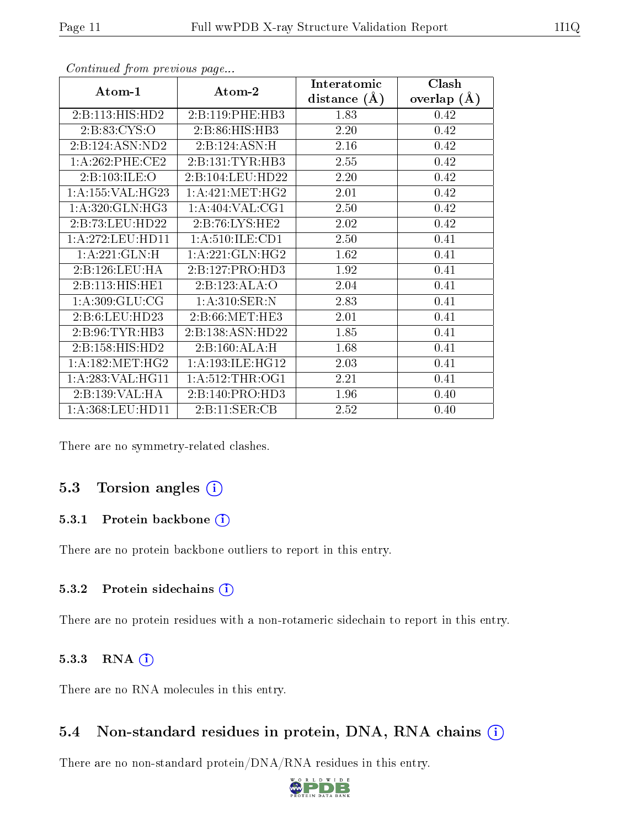|                      |                     | Interatomic    | Clash         |  |
|----------------------|---------------------|----------------|---------------|--|
| Atom-1               | Atom-2              | distance $(A)$ | overlap $(A)$ |  |
| 2:B:113:HIS:HD2      | 2:B:119:PHE:HB3     | 1.83           | 0.42          |  |
| 2:B:83:CYS:O         | 2:B:86:HIS:HB3      | 2.20           | 0.42          |  |
| 2:B:124:ASN:ND2      | 2:B:124:ASN:H       | 2.16           | 0.42          |  |
| 1: A:262:PHE:CE2     | 2:B:131:TYR:HB3     | 2.55           | 0.42          |  |
| 2:B:103:ILE:O        | 2:B:104:LEU:HD22    | 2.20           | 0.42          |  |
| 1: A: 155: VAL: HG23 | 1: A:421: MET:HG2   | 2.01           | 0.42          |  |
| 1:A:320:GLN:HG3      | 1: A:404: VAL: CG1  | 2.50           | 0.42          |  |
| 2:B:73:LEU:HD22      | 2:B:76:LYS:HE2      | 2.02           | 0.42          |  |
| 1: A:272:LEU:HD11    | 1: A:510: ILE: CD1  | 2.50           | 0.41          |  |
| 1:A:221:GLN:H        | 1:A:221:GLN:HG2     | 1.62           | 0.41          |  |
| 2:B:126:LEU:HA       | 2:B:127:PRO:HD3     | 1.92           | 0.41          |  |
| 2: B: 113: HIS: HE1  | 2:B:123:ALA:O       | 2.04           | 0.41          |  |
| 1: A:309: GLU:CG     | 1: A:310: SER: N    | 2.83           | 0.41          |  |
| 2:5:6:LEU:HD23       | 2: B:66:MET:HE3     | 2.01           | 0.41          |  |
| 2: B:96: TYR:HB3     | 2:B:138:ASN:HD22    | 1.85           | 0.41          |  |
| 2:B:158:HIS:HD2      | 2: B:160:ALA:H      | 1.68           | 0.41          |  |
| 1: A: 182: MET: HG2  | 1: A:193: ILE: HG12 | 2.03           | 0.41          |  |
| 1:A:283:VAL:HG11     | 1: A:512:THR:OG1    | 2.21           | 0.41          |  |
| 2:B:139:VAL:HA       | 2:B:140:PRO:HD3     | 1.96           | 0.40          |  |
| 1:A:368:LEU:HD11     | 2:B:11:SER:CB       | 2.52           | 0.40          |  |

Continued from previous page...

There are no symmetry-related clashes.

### 5.3 Torsion angles  $(i)$

#### 5.3.1 Protein backbone (i)

There are no protein backbone outliers to report in this entry.

#### 5.3.2 Protein sidechains (i)

There are no protein residues with a non-rotameric sidechain to report in this entry.

#### 5.3.3 RNA (1)

There are no RNA molecules in this entry.

### 5.4 Non-standard residues in protein, DNA, RNA chains  $(i)$

There are no non-standard protein/DNA/RNA residues in this entry.

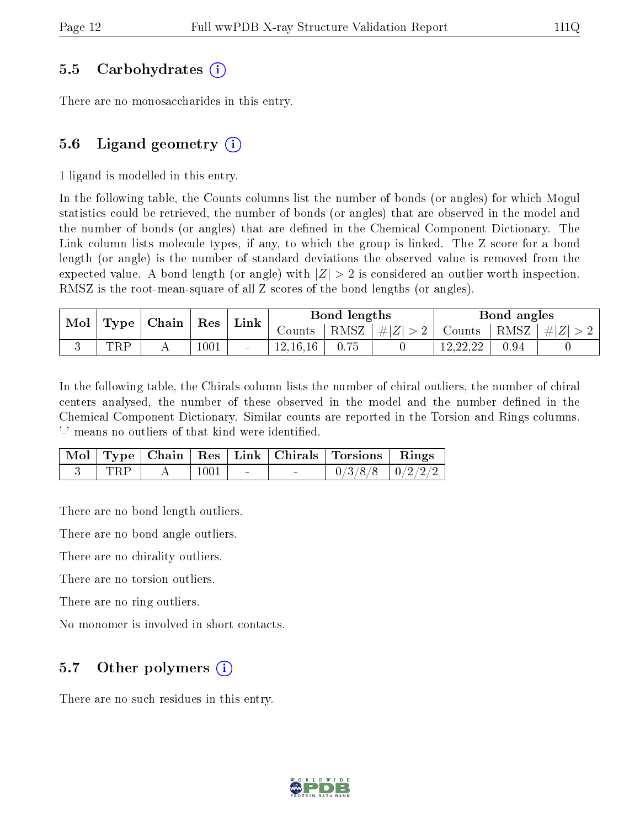### 5.5 Carbohydrates (i)

There are no monosaccharides in this entry.

### 5.6 Ligand geometry  $(i)$

1 ligand is modelled in this entry.

In the following table, the Counts columns list the number of bonds (or angles) for which Mogul statistics could be retrieved, the number of bonds (or angles) that are observed in the model and the number of bonds (or angles) that are dened in the Chemical Component Dictionary. The Link column lists molecule types, if any, to which the group is linked. The Z score for a bond length (or angle) is the number of standard deviations the observed value is removed from the expected value. A bond length (or angle) with  $|Z| > 2$  is considered an outlier worth inspection. RMSZ is the root-mean-square of all Z scores of the bond lengths (or angles).

| $\operatorname{Mol}$ | $\top$ Type   Chain |          |        | ${\rm Res}$ | Link |                 | Bond lengths  |      |               | Bond angles |  |
|----------------------|---------------------|----------|--------|-------------|------|-----------------|---------------|------|---------------|-------------|--|
|                      |                     |          |        | Counts      |      | RMSZ $ #Z  > 2$ | Counts   RMSZ |      | $\perp \# Z $ |             |  |
|                      | TRP                 | $1001\,$ | $\sim$ | 12.16.16    | 0.75 |                 | 12,22,22      | 0.94 |               |             |  |

In the following table, the Chirals column lists the number of chiral outliers, the number of chiral centers analysed, the number of these observed in the model and the number defined in the Chemical Component Dictionary. Similar counts are reported in the Torsion and Rings columns. '-' means no outliers of that kind were identified.

|            |      |        | Mol   Type   Chain   Res   Link   Chirals   Torsions   Rings |  |
|------------|------|--------|--------------------------------------------------------------|--|
| <b>TRP</b> | 1001 | $\sim$ | $0/3/8/8$   $0/2/2/2$                                        |  |

There are no bond length outliers.

There are no bond angle outliers.

There are no chirality outliers.

There are no torsion outliers.

There are no ring outliers.

No monomer is involved in short contacts.

### 5.7 [O](https://www.wwpdb.org/validation/2017/XrayValidationReportHelp#nonstandard_residues_and_ligands)ther polymers  $(i)$

There are no such residues in this entry.

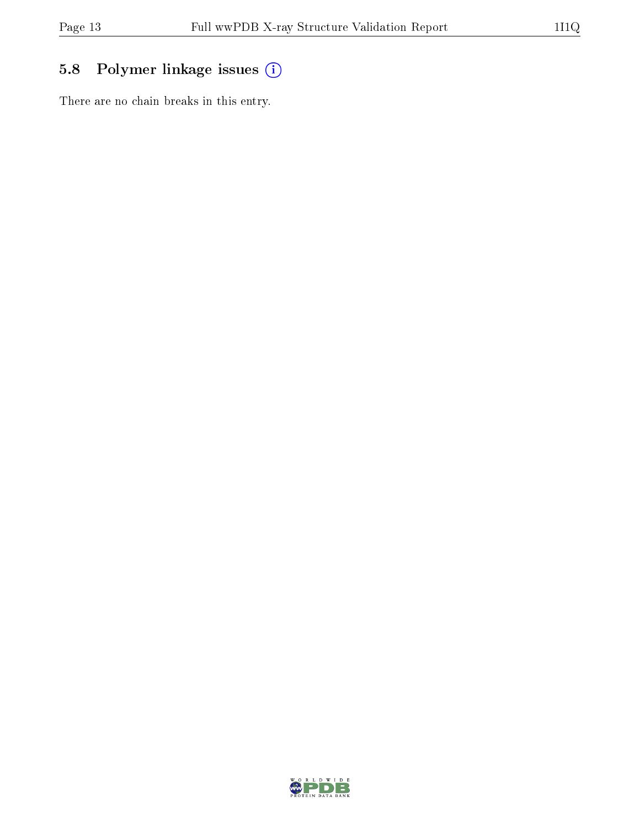# 5.8 Polymer linkage issues (i)

There are no chain breaks in this entry.